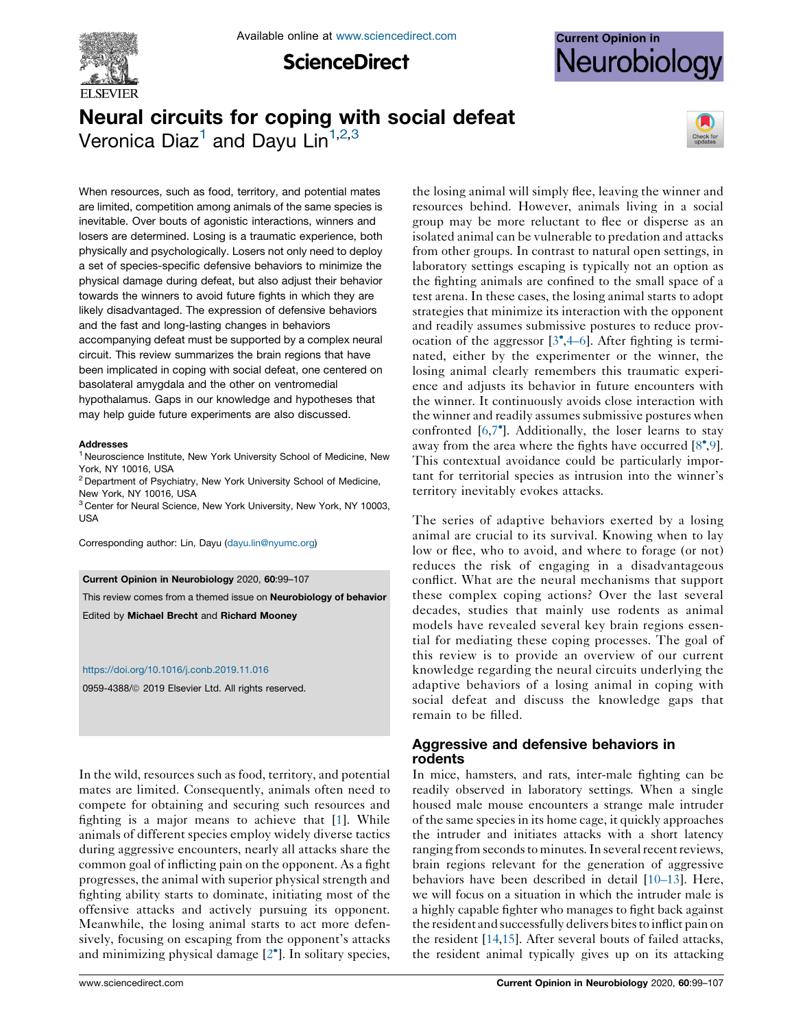

**ScienceDirect** 



# Neural circuits for coping with social defeat Veronica Diaz<sup>1</sup> and Dayu Lin<sup>1,2,3</sup>



When resources, such as food, territory, and potential mates are limited, competition among animals of the same species is inevitable. Over bouts of agonistic interactions, winners and losers are determined. Losing is a traumatic experience, both physically and psychologically. Losers not only need to deploy a set of species-specific defensive behaviors to minimize the physical damage during defeat, but also adjust their behavior towards the winners to avoid future fights in which they are likely disadvantaged. The expression of defensive behaviors and the fast and long-lasting changes in behaviors accompanying defeat must be supported by a complex neural circuit. This review summarizes the brain regions that have been implicated in coping with social defeat, one centered on basolateral amygdala and the other on ventromedial hypothalamus. Gaps in our knowledge and hypotheses that may help guide future experiments are also discussed.

#### Addresses

<sup>1</sup> Neuroscience Institute, New York University School of Medicine, New York, NY 10016, USA

<sup>2</sup> Department of Psychiatry, New York University School of Medicine, New York, NY 10016, USA

<sup>3</sup> Center for Neural Science, New York University, New York, NY 10003, USA

Corresponding author: Lin, Dayu [\(dayu.lin@nyumc.org\)](mailto:dayu.lin@nyumc.org)

#### Current Opinion in Neurobiology 2020, 60:99–107

This review comes from a themed issue on Neurobiology of behavior Edited by Michael Brecht and Richard Mooney

#### <https://doi.org/10.1016/j.conb.2019.11.016>

0959-4388/ 2019 Elsevier Ltd. All rights reserved.

In the wild, resources such as food, territory, and potential mates are limited. Consequently, animals often need to compete for obtaining and securing such resources and fighting is a major means to achieve that [\[1](#page-6-0)]. While animals of different species employ widely diverse tactics during aggressive encounters, nearly all attacks share the common goal of inflicting pain on the opponent. As a fight progresses, the animal with superior physical strength and fighting ability starts to dominate, initiating most of the offensive attacks and actively pursuing its opponent. Meanwhile, the losing animal starts to act more defensively, focusing on escaping from the opponent's attacks and minimizing physical damage [2 ]. In solitary [species,](#page-6-0)

the losing animal will simply flee, leaving the winner and resources behind. However, animals living in a social group may be more reluctant to flee or disperse as an isolated animal can be vulnerable to predation and attacks from other groups. In contrast to natural open settings, in laboratory settings escaping is typically not an option as the fighting animals are confined to the small space of a test arena. In these cases, the losing animal starts to adopt strategies that minimize its interaction with the opponent and readily assumes submissive postures to reduce provocation of the aggressor  $[3^{\bullet},4-6]$  $[3^{\bullet},4-6]$ . After fighting is terminated, either by the experimenter or the winner, the losing animal clearly remembers this traumatic experience and adjusts its behavior in future encounters with the winner. It continuously avoids close interaction with the winner and readily assumes submissive postures when confronted [[6,7](#page-6-0) ]. Additionally, the loser learns to stay away from the area where the fights have occurred  $[8^{\bullet},9]$  $[8^{\bullet},9]$  $[8^{\bullet},9]$  $[8^{\bullet},9]$ . This contextual avoidance could be particularly important for territorial species as intrusion into the winner's territory inevitably evokes attacks.

The series of adaptive behaviors exerted by a losing animal are crucial to its survival. Knowing when to lay low or flee, who to avoid, and where to forage (or not) reduces the risk of engaging in a disadvantageous conflict. What are the neural mechanisms that support these complex coping actions? Over the last several decades, studies that mainly use rodents as animal models have revealed several key brain regions essential for mediating these coping processes. The goal of this review is to provide an overview of our current knowledge regarding the neural circuits underlying the adaptive behaviors of a losing animal in coping with social defeat and discuss the knowledge gaps that remain to be filled.

## Aggressive and defensive behaviors in rodents

In mice, hamsters, and rats, inter-male fighting can be readily observed in laboratory settings. When a single housed male mouse encounters a strange male intruder of the same species in its home cage, it quickly approaches the intruder and initiates attacks with a short latency ranging from seconds to minutes. In several recent reviews, brain regions relevant for the generation of aggressive behaviors have been described in detail [[10–13\]](#page-6-0). Here, we will focus on a situation in which the intruder male is a highly capable fighter who manages to fight back against the resident and successfully delivers bitesto inflict pain on the resident [\[14,15](#page-6-0)]. After several bouts of failed attacks, the resident animal typically gives up on its attacking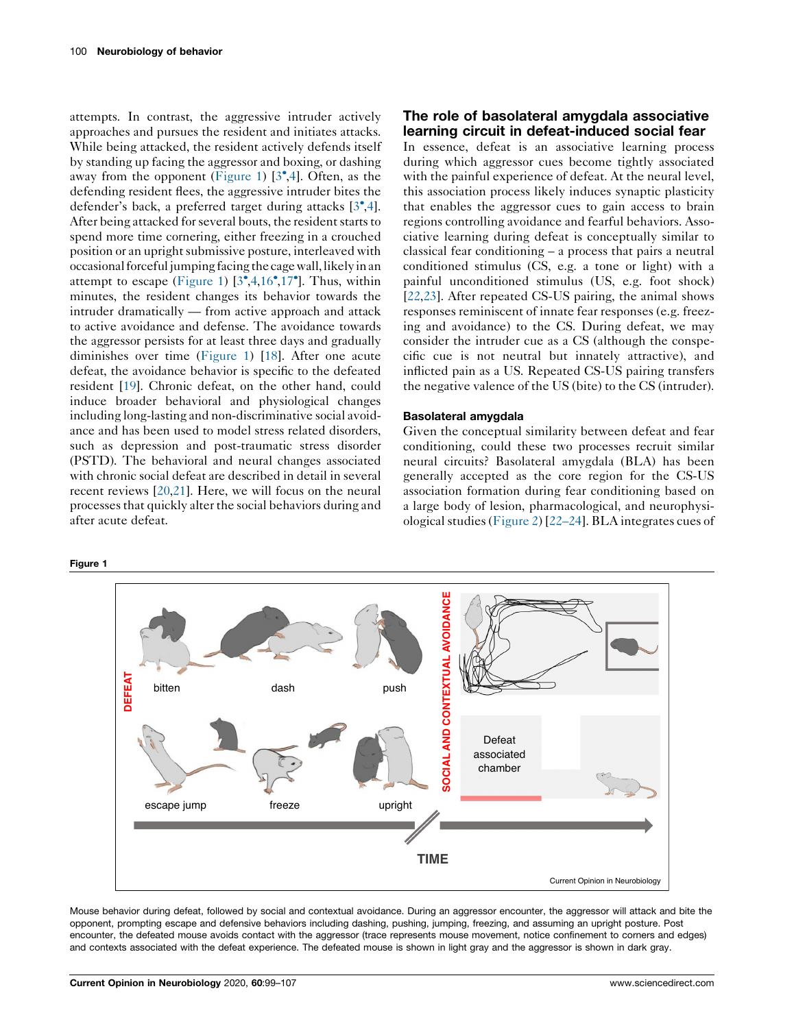attempts. In contrast, the aggressive intruder actively approaches and pursues the resident and initiates attacks. While being attacked, the resident actively defends itself by standing up facing the aggressor and boxing, or dashing away from the opponent (Figure 1)  $[3^{\bullet},4]$  $[3^{\bullet},4]$  $[3^{\bullet},4]$  $[3^{\bullet},4]$  $[3^{\bullet},4]$ . Often, as the defending resident flees, the aggressive intruder bites the defender's back, a preferred target during attacks [[3](#page-6-0)[,4](#page-6-0)]. After being attacked for several bouts, the resident starts to spend more time cornering, either freezing in a crouched position or an upright submissive posture, interleaved with occasional forceful jumping facing the cage wall, likely in an attempt to escape (Figure 1)  $[3^{\bullet}, 4, 16^{\bullet}, 17^{\bullet}]$  $[3^{\bullet}, 4, 16^{\bullet}, 17^{\bullet}]$  $[3^{\bullet}, 4, 16^{\bullet}, 17^{\bullet}]$  $[3^{\bullet}, 4, 16^{\bullet}, 17^{\bullet}]$  $[3^{\bullet}, 4, 16^{\bullet}, 17^{\bullet}]$  $[3^{\bullet}, 4, 16^{\bullet}, 17^{\bullet}]$  $[3^{\bullet}, 4, 16^{\bullet}, 17^{\bullet}]$  $[3^{\bullet}, 4, 16^{\bullet}, 17^{\bullet}]$  $[3^{\bullet}, 4, 16^{\bullet}, 17^{\bullet}]$ . Thus, within minutes, the resident changes its behavior towards the intruder dramatically — from active approach and attack to active avoidance and defense. The avoidance towards the aggressor persists for at least three days and gradually diminishes over time (Figure 1) [\[18](#page-6-0)]. After one acute defeat, the avoidance behavior is specific to the defeated resident [\[19\]](#page-7-0). Chronic defeat, on the other hand, could induce broader behavioral and physiological changes including long-lasting and non-discriminative social avoidance and has been used to model stress related disorders, such as depression and post-traumatic stress disorder (PSTD). The behavioral and neural changes associated with chronic social defeat are described in detail in several recent reviews [\[20](#page-7-0),[21](#page-7-0)]. Here, we will focus on the neural processesthat quickly alter the social behaviors during and after acute defeat.

#### Figure 1

## The role of basolateral amygdala associative learning circuit in defeat-induced social fear

In essence, defeat is an associative learning process during which aggressor cues become tightly associated with the painful experience of defeat. At the neural level, this association process likely induces synaptic plasticity that enables the aggressor cues to gain access to brain regions controlling avoidance and fearful behaviors. Associative learning during defeat is conceptually similar to classical fear conditioning – a process that pairs a neutral conditioned stimulus (CS, e.g. a tone or light) with a painful unconditioned stimulus (US, e.g. foot shock) [\[22](#page-7-0),[23\]](#page-7-0). After repeated CS-US pairing, the animal shows responses reminiscent of innate fear responses (e.g. freezing and avoidance) to the CS. During defeat, we may consider the intruder cue as a CS (although the conspecific cue is not neutral but innately attractive), and inflicted pain as a US. Repeated CS-US pairing transfers the negative valence of the US (bite) to the CS (intruder).

#### Basolateral amygdala

Given the conceptual similarity between defeat and fear conditioning, could these two processes recruit similar neural circuits? Basolateral amygdala (BLA) has been generally accepted as the core region for the CS-US association formation during fear conditioning based on a large body of lesion, pharmacological, and neurophysiological studies [\(Figure](#page-2-0) 2) [[22–24\]](#page-7-0). BLA integrates cues of



Mouse behavior during defeat, followed by social and contextual avoidance. During an aggressor encounter, the aggressor will attack and bite the opponent, prompting escape and defensive behaviors including dashing, pushing, jumping, freezing, and assuming an upright posture. Post encounter, the defeated mouse avoids contact with the aggressor (trace represents mouse movement, notice confinement to corners and edges) and contexts associated with the defeat experience. The defeated mouse is shown in light gray and the aggressor is shown in dark gray.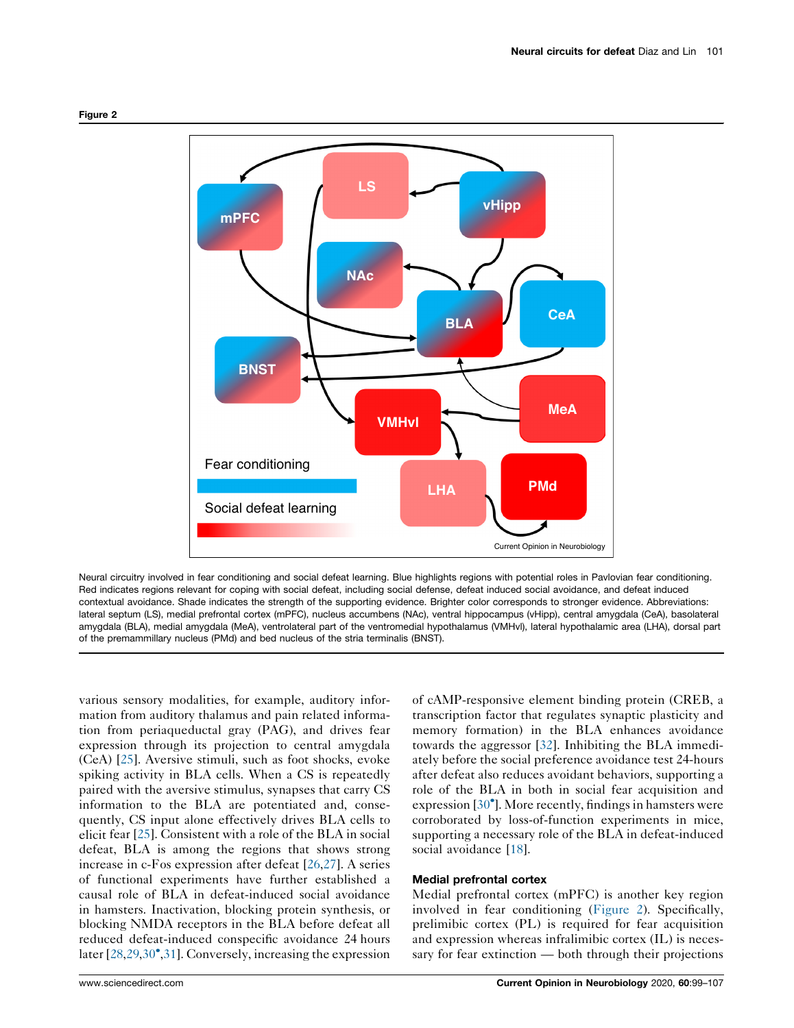<span id="page-2-0"></span>



Neural circuitry involved in fear conditioning and social defeat learning. Blue highlights regions with potential roles in Pavlovian fear conditioning. Red indicates regions relevant for coping with social defeat, including social defense, defeat induced social avoidance, and defeat induced contextual avoidance. Shade indicates the strength of the supporting evidence. Brighter color corresponds to stronger evidence. Abbreviations: lateral septum (LS), medial prefrontal cortex (mPFC), nucleus accumbens (NAc), ventral hippocampus (vHipp), central amygdala (CeA), basolateral amygdala (BLA), medial amygdala (MeA), ventrolateral part of the ventromedial hypothalamus (VMHvl), lateral hypothalamic area (LHA), dorsal part of the premammillary nucleus (PMd) and bed nucleus of the stria terminalis (BNST).

various sensory modalities, for example, auditory information from auditory thalamus and pain related information from periaqueductal gray (PAG), and drives fear expression through its projection to central amygdala (CeA) [\[25](#page-7-0)]. Aversive stimuli, such as foot shocks, evoke spiking activity in BLA cells. When a CS is repeatedly paired with the aversive stimulus, synapses that carry CS information to the BLA are potentiated and, consequently, CS input alone effectively drives BLA cells to elicit fear [\[25](#page-7-0)]. Consistent with a role of the BLA in social defeat, BLA is among the regions that shows strong increase in c-Fos expression after defeat [\[26](#page-7-0),[27\]](#page-7-0). A series of functional experiments have further established a causal role of BLA in defeat-induced social avoidance in hamsters. Inactivation, blocking protein synthesis, or blocking NMDA receptors in the BLA before defeat all reduced defeat-induced conspecific avoidance 24 hours later [\[28](#page-7-0),[29,30](#page-7-0)<sup>•</sup>[,31](#page-7-0)]. Conversely, increasing the expression

of cAMP-responsive element binding protein (CREB, a transcription factor that regulates synaptic plasticity and memory formation) in the BLA enhances avoidance towards the aggressor [[32\]](#page-7-0). Inhibiting the BLA immediately before the social preference avoidance test 24-hours after defeat also reduces avoidant behaviors, supporting a role of the BLA in both in social fear acquisition and expression [\[30](#page-7-0)<sup>°</sup>]. More recently, findings in hamsters were corroborated by loss-of-function experiments in mice, supporting a necessary role of the BLA in defeat-induced social avoidance [[18\]](#page-6-0).

### Medial prefrontal cortex

Medial prefrontal cortex (mPFC) is another key region involved in fear conditioning (Figure 2). Specifically, prelimibic cortex (PL) is required for fear acquisition and expression whereas infralimibic cortex (IL) is necessary for fear extinction — both through their projections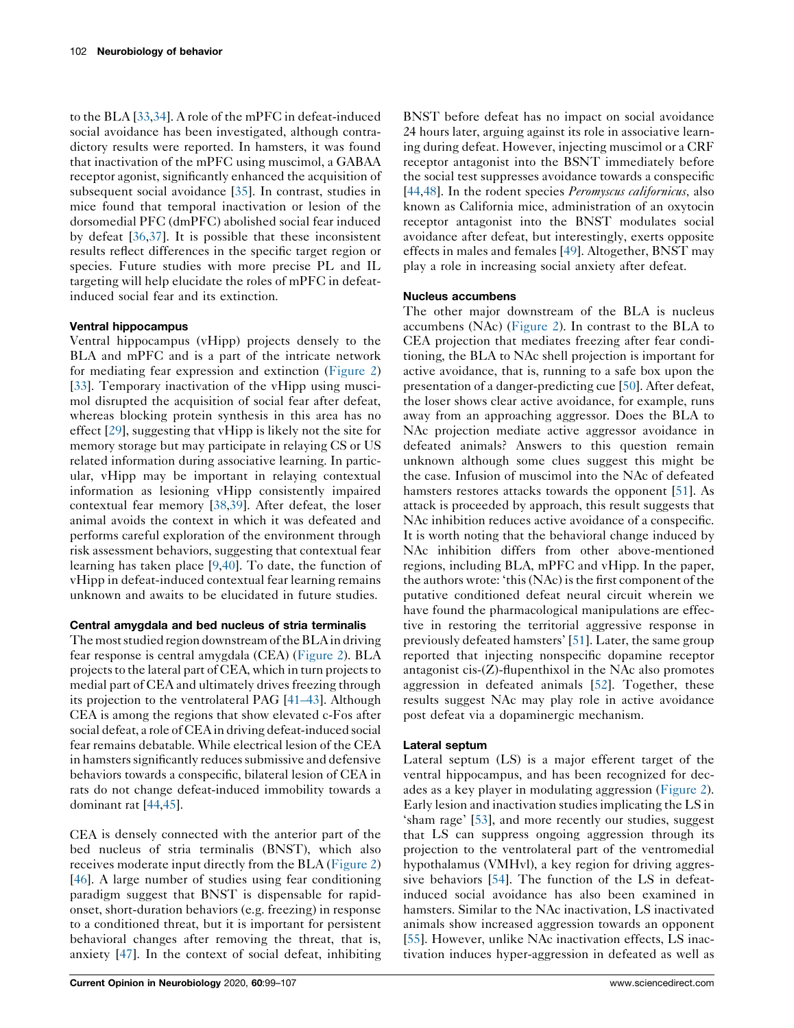to the BLA [[33,34](#page-7-0)]. A role of the mPFC in defeat-induced social avoidance has been investigated, although contradictory results were reported. In hamsters, it was found that inactivation of the mPFC using muscimol, a GABAA receptor agonist, significantly enhanced the acquisition of subsequent social avoidance [\[35](#page-7-0)]. In contrast, studies in mice found that temporal inactivation or lesion of the dorsomedial PFC (dmPFC) abolished social fear induced by defeat [[36,37](#page-7-0)]. It is possible that these inconsistent results reflect differences in the specific target region or species. Future studies with more precise PL and IL targeting will help elucidate the roles of mPFC in defeatinduced social fear and its extinction.

## Ventral hippocampus

Ventral hippocampus (vHipp) projects densely to the BLA and mPFC and is a part of the intricate network for mediating fear expression and extinction ([Figure](#page-2-0) 2) [\[33](#page-7-0)]. Temporary inactivation of the vHipp using muscimol disrupted the acquisition of social fear after defeat, whereas blocking protein synthesis in this area has no effect [[29\]](#page-7-0), suggesting that vHipp is likely not the site for memory storage but may participate in relaying CS or US related information during associative learning. In particular, vHipp may be important in relaying contextual information as lesioning vHipp consistently impaired contextual fear memory [[38,39](#page-7-0)]. After defeat, the loser animal avoids the context in which it was defeated and performs careful exploration of the environment through risk assessment behaviors, suggesting that contextual fear learning has taken place [[9](#page-6-0)[,40](#page-7-0)]. To date, the function of vHipp in defeat-induced contextual fear learning remains unknown and awaits to be elucidated in future studies.

## Central amygdala and bed nucleus of stria terminalis

The most studied region downstream of the BLA in driving fear response is central amygdala (CEA) [\(Figure](#page-2-0) 2). BLA projects to the lateral part of CEA, which in turn projects to medial part of CEA and ultimately drives freezing through its projection to the ventrolateral PAG [[41–43\]](#page-7-0). Although CEA is among the regions that show elevated c-Fos after social defeat, a role of CEAin driving defeat-induced social fear remains debatable. While electrical lesion of the CEA in hamsters significantly reduces submissive and defensive behaviors towards a conspecific, bilateral lesion of CEA in rats do not change defeat-induced immobility towards a dominant rat [[44](#page-7-0),[45\]](#page-7-0).

CEA is densely connected with the anterior part of the bed nucleus of stria terminalis (BNST), which also receives moderate input directly from the BLA [\(Figure](#page-2-0) 2) [\[46](#page-7-0)]. A large number of studies using fear conditioning paradigm suggest that BNST is dispensable for rapidonset, short-duration behaviors (e.g. freezing) in response to a conditioned threat, but it is important for persistent behavioral changes after removing the threat, that is, anxiety [\[47](#page-7-0)]. In the context of social defeat, inhibiting BNST before defeat has no impact on social avoidance 24 hours later, arguing against its role in associative learning during defeat. However, injecting muscimol or a CRF receptor antagonist into the BSNT immediately before the social test suppresses avoidance towards a conspecific [\[44](#page-7-0),[48\]](#page-7-0). In the rodent species *Peromyscus californicus*, also known as California mice, administration of an oxytocin receptor antagonist into the BNST modulates social avoidance after defeat, but interestingly, exerts opposite effects in males and females [\[49](#page-7-0)]. Altogether, BNST may play a role in increasing social anxiety after defeat.

## Nucleus accumbens

The other major downstream of the BLA is nucleus accumbens (NAc) ([Figure](#page-2-0) 2). In contrast to the BLA to CEA projection that mediates freezing after fear conditioning, the BLA to NAc shell projection is important for active avoidance, that is, running to a safe box upon the presentation of a danger-predicting cue [[50\]](#page-7-0). After defeat, the loser shows clear active avoidance, for example, runs away from an approaching aggressor. Does the BLA to NAc projection mediate active aggressor avoidance in defeated animals? Answers to this question remain unknown although some clues suggest this might be the case. Infusion of muscimol into the NAc of defeated hamsters restores attacks towards the opponent [[51\]](#page-7-0). As attack is proceeded by approach, this result suggests that NAc inhibition reduces active avoidance of a conspecific. It is worth noting that the behavioral change induced by NAc inhibition differs from other above-mentioned regions, including BLA, mPFC and vHipp. In the paper, the authors wrote: 'this (NAc) is the first component of the putative conditioned defeat neural circuit wherein we have found the pharmacological manipulations are effective in restoring the territorial aggressive response in previously defeated hamsters' [[51\]](#page-7-0). Later, the same group reported that injecting nonspecific dopamine receptor antagonist cis- $(Z)$ -flupenthixol in the NAc also promotes aggression in defeated animals [[52\]](#page-7-0). Together, these results suggest NAc may play role in active avoidance post defeat via a dopaminergic mechanism.

## Lateral septum

Lateral septum (LS) is a major efferent target of the ventral hippocampus, and has been recognized for decades as a key player in modulating aggression ([Figure](#page-2-0) 2). Early lesion and inactivation studiesimplicating the LS in 'sham rage' [[53\]](#page-7-0), and more recently our studies, suggest that LS can suppress ongoing aggression through its projection to the ventrolateral part of the ventromedial hypothalamus (VMHvl), a key region for driving aggressive behaviors [[54\]](#page-7-0). The function of the LS in defeatinduced social avoidance has also been examined in hamsters. Similar to the NAc inactivation, LS inactivated animals show increased aggression towards an opponent [\[55](#page-7-0)]. However, unlike NAc inactivation effects, LS inactivation induces hyper-aggression in defeated as well as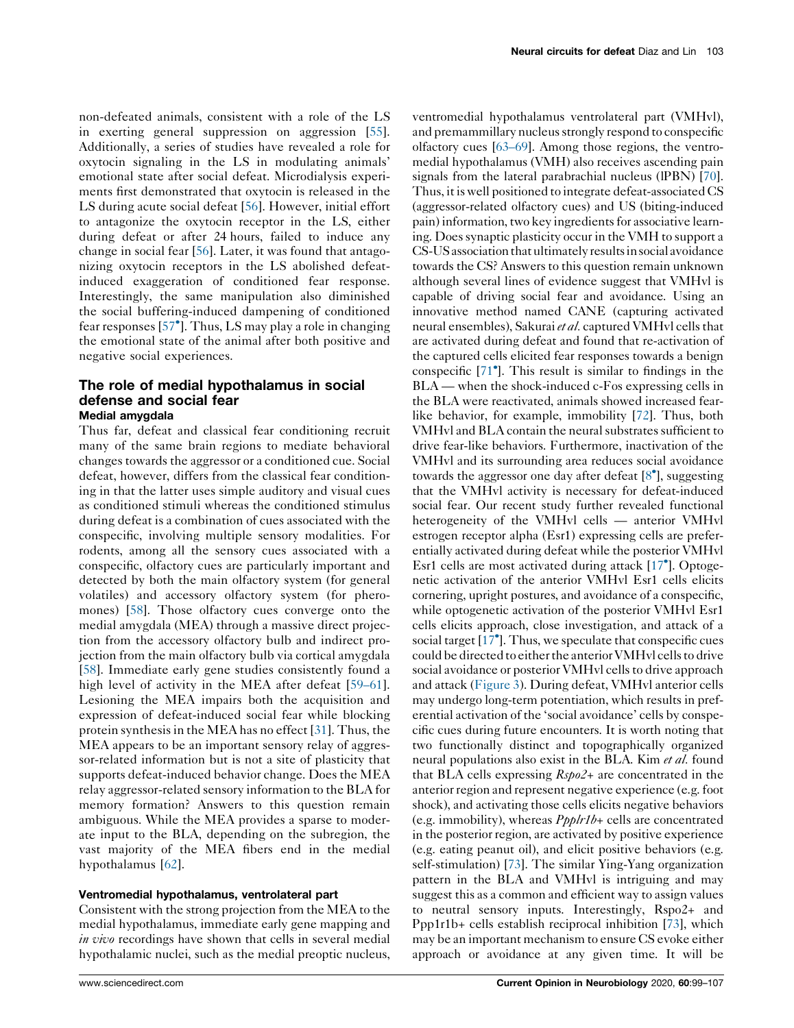non-defeated animals, consistent with a role of the LS in exerting general suppression on aggression [\[55](#page-7-0)]. Additionally, a series of studies have revealed a role for oxytocin signaling in the LS in modulating animals' emotional state after social defeat. Microdialysis experiments first demonstrated that oxytocin is released in the LS during acute social defeat [\[56](#page-7-0)]. However, initial effort to antagonize the oxytocin receptor in the LS, either during defeat or after 24 hours, failed to induce any change in social fear [\[56](#page-7-0)]. Later, it was found that antagonizing oxytocin receptors in the LS abolished defeatinduced exaggeration of conditioned fear response. Interestingly, the same manipulation also diminished the social buffering-induced dampening of conditioned fear responses [57 ]. Thus, LS may play a role in [changing](#page-7-0) the emotional state of the animal after both positive and negative social experiences.

# The role of medial hypothalamus in social defense and social fear

# Medial amygdala

Thus far, defeat and classical fear conditioning recruit many of the same brain regions to mediate behavioral changes towards the aggressor or a conditioned cue. Social defeat, however, differs from the classical fear conditioning in that the latter uses simple auditory and visual cues as conditioned stimuli whereas the conditioned stimulus during defeat is a combination of cues associated with the conspecific, involving multiple sensory modalities. For rodents, among all the sensory cues associated with a conspecific, olfactory cues are particularly important and detected by both the main olfactory system (for general volatiles) and accessory olfactory system (for pheromones) [\[58](#page-7-0)]. Those olfactory cues converge onto the medial amygdala (MEA) through a massive direct projection from the accessory olfactory bulb and indirect projection from the main olfactory bulb via cortical amygdala [\[58](#page-7-0)]. Immediate early gene studies consistently found a high level of activity in the MEA after defeat [\[59–61](#page-7-0)]. Lesioning the MEA impairs both the acquisition and expression of defeat-induced social fear while blocking protein synthesis in the MEA has no effect [[31\]](#page-7-0). Thus, the MEA appears to be an important sensory relay of aggressor-related information but is not a site of plasticity that supports defeat-induced behavior change. Does the MEA relay aggressor-related sensory information to the BLA for memory formation? Answers to this question remain ambiguous. While the MEA provides a sparse to moderate input to the BLA, depending on the subregion, the vast majority of the MEA fibers end in the medial hypothalamus [[62\]](#page-8-0).

## Ventromedial hypothalamus, ventrolateral part

Consistent with the strong projection from the MEA to the medial hypothalamus, immediate early gene mapping and in vivo recordings have shown that cells in several medial hypothalamic nuclei, such as the medial preoptic nucleus, ventromedial hypothalamus ventrolateral part (VMHvl), and premammillary nucleus strongly respond to conspecific olfactory cues [[63–69](#page-8-0)]. Among those regions, the ventromedial hypothalamus (VMH) also receives ascending pain signals from the lateral parabrachial nucleus (lPBN) [\[70\]](#page-8-0). Thus, it is well positioned to integrate defeat-associated CS (aggressor-related olfactory cues) and US (biting-induced pain) information,two key ingredientsfor associative learning. Doessynaptic plasticity occur in the VMH to support a CS-US association that ultimately results in social avoidance towards the CS? Answers to this question remain unknown although several lines of evidence suggest that VMHvl is capable of driving social fear and avoidance. Using an innovative method named CANE (capturing activated neural ensembles), Sakurai et al. captured VMHvl cells that are activated during defeat and found that re-activation of the captured cells elicited fear responses towards a benign conspecific [[71](#page-8-0) ]. This result is similar to findings in the BLA — when the shock-induced c-Fos expressing cells in the BLA were reactivated, animals showed increased fearlike behavior, for example, immobility [\[72\]](#page-8-0). Thus, both VMHvl and BLA contain the neural substrates sufficient to drive fear-like behaviors. Furthermore, inactivation of the VMHvl and its surrounding area reduces social avoidance towards the aggressor one day after defeat [\[8](#page-6-0)<sup>°</sup>], suggesting that the VMHvl activity is necessary for defeat-induced social fear. Our recent study further revealed functional heterogeneity of the VMHvl cells — anterior VMHvl estrogen receptor alpha (Esr1) expressing cells are preferentially activated during defeat while the posterior VMHvl Esr1 cells are most activated during attack [\[17](#page-6-0) ]. Optogenetic activation of the anterior VMHvl Esr1 cells elicits cornering, upright postures, and avoidance of a conspecific, while optogenetic activation of the posterior VMHvl Esr1 cells elicits approach, close investigation, and attack of a social target [\[17](#page-6-0) ]. Thus, we speculate that conspecific cues could be directed to either the anterior VMHvl cells to drive social avoidance or posterior VMHvl cells to drive approach and attack [\(Figure](#page-5-0) 3). During defeat, VMHvl anterior cells may undergo long-term potentiation, which results in preferential activation of the 'social avoidance' cells by conspecific cues during future encounters. It is worth noting that two functionally distinct and topographically organized neural populations also exist in the BLA. Kim *et al.* found that BLA cells expressing  $Rsp_02+$  are concentrated in the anterior region and represent negative experience (e.g. foot shock), and activating those cells elicits negative behaviors (e.g. immobility), whereas  $Ppplrlb+$  cells are concentrated in the posterior region, are activated by positive experience (e.g. eating peanut oil), and elicit positive behaviors (e.g. self-stimulation) [\[73\]](#page-8-0). The similar Ying-Yang organization pattern in the BLA and VMHvl is intriguing and may suggest this as a common and efficient way to assign values to neutral sensory inputs. Interestingly, Rspo2+ and Ppp1r1b+ cells establish reciprocal inhibition [[73](#page-8-0)], which may be an important mechanism to ensure CS evoke either approach or avoidance at any given time. It will be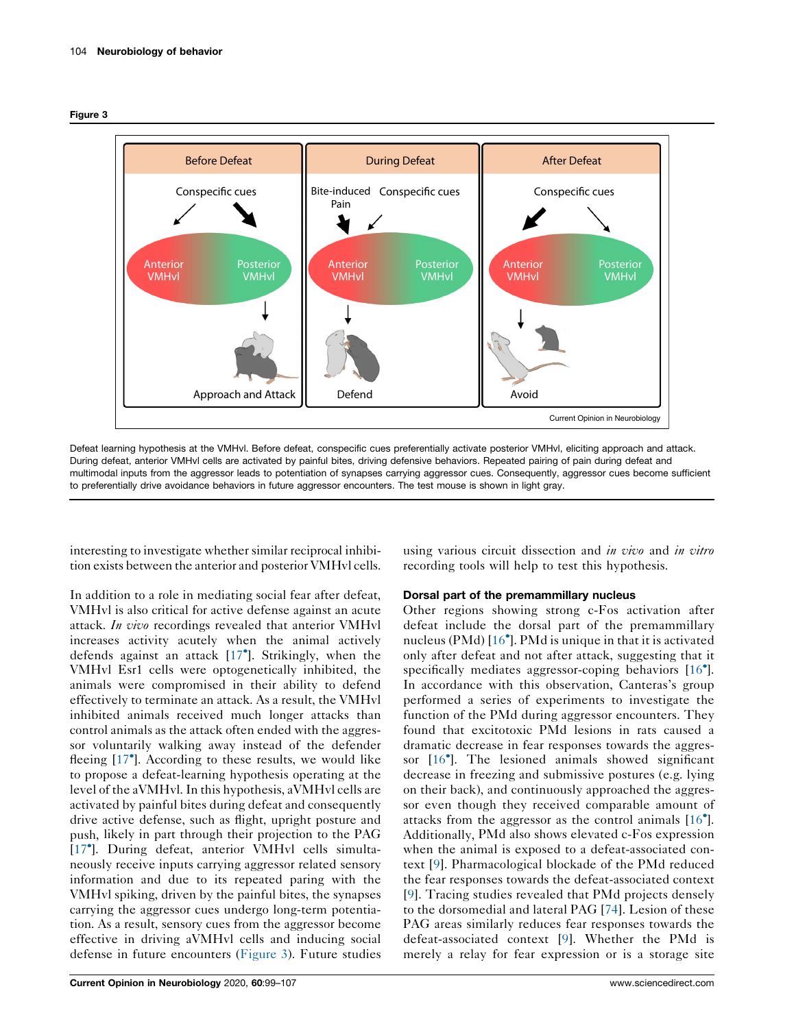<span id="page-5-0"></span>



Defeat learning hypothesis at the VMHvl. Before defeat, conspecific cues preferentially activate posterior VMHvl, eliciting approach and attack. During defeat, anterior VMHvl cells are activated by painful bites, driving defensive behaviors. Repeated pairing of pain during defeat and multimodal inputs from the aggressor leads to potentiation of synapses carrying aggressor cues. Consequently, aggressor cues become sufficient to preferentially drive avoidance behaviors in future aggressor encounters. The test mouse is shown in light gray.

interesting to investigate whether similar reciprocal inhibition exists between the anterior and posterior VMHvl cells.

In addition to a role in mediating social fear after defeat, VMHvl is also critical for active defense against an acute attack. In vivo recordings revealed that anterior VMHvl increases activity acutely when the animal actively defends against an attack [[17](#page-6-0) ]. Strikingly, when the VMHvl Esr1 cells were optogenetically inhibited, the animals were compromised in their ability to defend effectively to terminate an attack. As a result, the VMHvl inhibited animals received much longer attacks than control animals as the attack often ended with the aggressor voluntarily walking away instead of the defender fleeing [[17](#page-6-0) ]. According to these results, we would like to propose a defeat-learning hypothesis operating at the level of the aVMHvl.In this hypothesis, aVMHvl cells are activated by painful bites during defeat and consequently drive active defense, such as flight, upright posture and push, likely in part through their projection to the PAG [\[17](#page-6-0) ]. During defeat, anterior VMHvl cells simultaneously receive inputs carrying aggressor related sensory information and due to its repeated paring with the VMHvl spiking, driven by the painful bites, the synapses carrying the aggressor cues undergo long-term potentiation. As a result, sensory cues from the aggressor become effective in driving aVMHvl cells and inducing social defense in future encounters (Figure 3). Future studies

using various circuit dissection and *in vivo* and *in vitro* recording tools will help to test this hypothesis.

## Dorsal part of the premammillary nucleus

Other regions showing strong c-Fos activation after defeat include the dorsal part of the premammillary nucleus (PMd) [[16](#page-6-0) ]. PMd is unique in that it is activated only after defeat and not after attack, suggesting that it specifically mediates aggressor-coping behaviors [[16](#page-6-0)<sup>°</sup>]. In accordance with this observation, Canteras's group performed a series of experiments to investigate the function of the PMd during aggressor encounters. They found that excitotoxic PMd lesions in rats caused a dramatic decrease in fear responses towards the aggressor [[16](#page-6-0) ]. The lesioned animals showed significant decrease in freezing and submissive postures (e.g. lying on their back), and continuously approached the aggressor even though they received comparable amount of attacks from the aggressor as the control animals [[16](#page-6-0) ]. Additionally, PMd also shows elevated c-Fos expression when the animal is exposed to a defeat-associated context [\[9\]](#page-6-0). Pharmacological blockade of the PMd reduced the fear responses towards the defeat-associated context [\[9\]](#page-6-0). Tracing studies revealed that PMd projects densely to the dorsomedial and lateral PAG [[74](#page-8-0)]. Lesion of these PAG areas similarly reduces fear responses towards the defeat-associated context [[9\]](#page-6-0). Whether the PMd is merely a relay for fear expression or is a storage site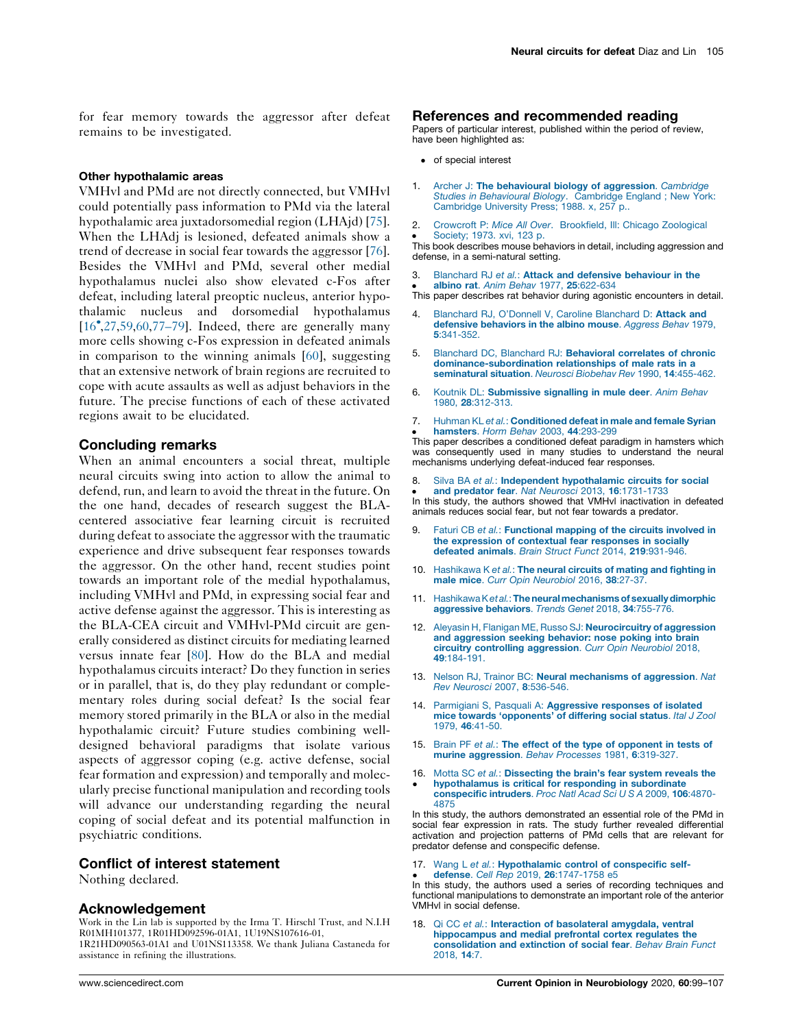<span id="page-6-0"></span>for fear memory towards the aggressor after defeat remains to be investigated.

#### Other hypothalamic areas

VMHvl and PMd are not directly connected, but VMHvl could potentially pass information to PMd via the lateral hypothalamic area juxtadorsomedial region (LHAjd) [\[75](#page-8-0)]. When the LHAdj is lesioned, defeated animals show a trend of decrease in social fear towards the aggressor [\[76](#page-8-0)]. Besides the VMHvl and PMd, several other medial hypothalamus nuclei also show elevated c-Fos after defeat, including lateral preoptic nucleus, anterior hypothalamic nucleus and dorsomedial hypothalamus [16 [,27](#page-7-0),[59,](#page-7-0)[60](#page-8-0),[77–79](#page-8-0)]. Indeed, there are generally many more cells showing c-Fos expression in defeated animals in comparison to the winning animals [\[60](#page-8-0)], suggesting that an extensive network of brain regions are recruited to cope with acute assaults as well as adjust behaviors in the future. The precise functions of each of these activated regions await to be elucidated.

## Concluding remarks

When an animal encounters a social threat, multiple neural circuits swing into action to allow the animal to defend, run, and learn to avoid the threat in the future. On the one hand, decades of research suggest the BLAcentered associative fear learning circuit is recruited during defeat to associate the aggressor with the traumatic experience and drive subsequent fear responses towards the aggressor. On the other hand, recent studies point towards an important role of the medial hypothalamus, including VMHvl and PMd, in expressing social fear and active defense against the aggressor. This is interesting as the BLA-CEA circuit and VMHvl-PMd circuit are generally considered as distinct circuits for mediating learned versus innate fear [[80\]](#page-8-0). How do the BLA and medial hypothalamus circuits interact? Do they function in series or in parallel, that is, do they play redundant or complementary roles during social defeat? Is the social fear memory stored primarily in the BLA or also in the medial hypothalamic circuit? Future studies combining welldesigned behavioral paradigms that isolate various aspects of aggressor coping (e.g. active defense, social fear formation and expression) and temporally and molecularly precise functional manipulation and recording tools will advance our understanding regarding the neural coping of social defeat and its potential malfunction in psychiatric conditions.

### Conflict of interest statement

Nothing declared.

### Acknowledgement

Work in the Lin lab is supported by the Irma T. Hirschl Trust, and N.I.H R01MH101377, 1R01HD092596-01A1, 1U19NS107616-01, 1R21HD090563-01A1 and U01NS113358. We thank Juliana Castaneda for assistance in refining the illustrations.

## References and recommended reading

Papers of particular interest, published within the period of review, have been highlighted as:

- of special interest
- 1. Archer J: The [behavioural](http://refhub.elsevier.com/S0959-4388(19)30127-8/sbref0005) biology of aggression. Cambridge Studies in [Behavioural](http://refhub.elsevier.com/S0959-4388(19)30127-8/sbref0005) Biology. Cambridge England ; New York: [Cambridge](http://refhub.elsevier.com/S0959-4388(19)30127-8/sbref0005) University Press; 1988. x, 257 p..
- 2. Crowcroft P: Mice All Over. [Brookfield,](http://refhub.elsevier.com/S0959-4388(19)30127-8/sbref0010) Ill: Chicago Zoological [Society;](http://refhub.elsevier.com/S0959-4388(19)30127-8/sbref0010) 1973. xvi, 123 p.

• Society; 1973. xvi, 123 p.<br>This book describes mouse behaviors in detail, including aggression and defense, in a semi-natural setting.

- 3. Blanchard RJ et al.: Attack and defensive [behaviour](http://refhub.elsevier.com/S0959-4388(19)30127-8/sbref0015) in the
- albino rat. Anim Behav 1977, 25[:622-634](http://refhub.elsevier.com/S0959-4388(19)30127-8/sbref0015)
- albino rat. Anno behavitativi, 25.622-634<br>This paper describes rat behavior during agonistic encounters in detail.
- [Blanchard](http://refhub.elsevier.com/S0959-4388(19)30127-8/sbref0020) RJ, O'Donnell V, Caroline Blanchard D: Attack and defensive [behaviors](http://refhub.elsevier.com/S0959-4388(19)30127-8/sbref0020) in the albino mouse. Aggress Behav 1979, 5[:341-352.](http://refhub.elsevier.com/S0959-4388(19)30127-8/sbref0020)
- 5. Blanchard DC, Blanchard RJ: [Behavioral](http://refhub.elsevier.com/S0959-4388(19)30127-8/sbref0025) correlates of chronic [dominance-subordination](http://refhub.elsevier.com/S0959-4388(19)30127-8/sbref0025) relationships of male rats in a [seminatural](http://refhub.elsevier.com/S0959-4388(19)30127-8/sbref0025) situation. Neurosci Biobehav Rev 1990, 14:455-462.
- 6. Koutnik DL: [Submissive](http://refhub.elsevier.com/S0959-4388(19)30127-8/sbref0030) signalling in mule deer. Anim Behav 1980, 28[:312-313.](http://refhub.elsevier.com/S0959-4388(19)30127-8/sbref0030)
- 7. Huhman KL et al.: [Conditioned](http://refhub.elsevier.com/S0959-4388(19)30127-8/sbref0035) defeat in male and female Syrian [hamsters](http://refhub.elsevier.com/S0959-4388(19)30127-8/sbref0035). Horm Behav 2003, 44:293-299

• **namsters**. Horm Benav 2003, 44:293-299<br>This paper describes a conditioned defeat paradigm in hamsters which was consequently used in many studies to understand the neural mechanisms underlying defeat-induced fear responses.

- 8. In this study, the authors showed that VMHvI inactivation in defeated<br>In this study, the authors showed that VMHvI inactivation in defeated Silva BA et al.: Independent [hypothalamic](http://refhub.elsevier.com/S0959-4388(19)30127-8/sbref0040) circuits for social and predator fear. Nat Neurosci 2013, 16[:1731-1733](http://refhub.elsevier.com/S0959-4388(19)30127-8/sbref0040) animals reduces social fear, but not fear towards a predator.
- 9. Faturi CB et al.: [Functional](http://refhub.elsevier.com/S0959-4388(19)30127-8/sbref0045) mapping of the circuits involved in the [expression](http://refhub.elsevier.com/S0959-4388(19)30127-8/sbref0045) of contextual fear responses in socially defeated animals. Brain Struct Funct 2014, 219[:931-946.](http://refhub.elsevier.com/S0959-4388(19)30127-8/sbref0045)
- 10. [Hashikawa](http://refhub.elsevier.com/S0959-4388(19)30127-8/sbref0050) K et al.: The neural circuits of mating and fighting in male mice. Curr Opin [Neurobiol](http://refhub.elsevier.com/S0959-4388(19)30127-8/sbref0050) 2016, 38:27-37.
- 11. Hashikawa Ketal.: The neural mechanisms of sexually dimorphic [aggressive](http://refhub.elsevier.com/S0959-4388(19)30127-8/sbref0055) behaviors. Trends Genet 2018, 34:755-776.
- 12. Aleyasin H, Flanigan ME, Russo SJ: [Neurocircuitry](http://refhub.elsevier.com/S0959-4388(19)30127-8/sbref0060) of aggression and [aggression](http://refhub.elsevier.com/S0959-4388(19)30127-8/sbref0060) seeking behavior: nose poking into brain circuitry controlling [aggression](http://refhub.elsevier.com/S0959-4388(19)30127-8/sbref0060). Curr Opin Neurobiol 2018, 49[:184-191.](http://refhub.elsevier.com/S0959-4388(19)30127-8/sbref0060)
- 13. Nelson RJ, Trainor BC: Neural [mechanisms](http://refhub.elsevier.com/S0959-4388(19)30127-8/sbref0065) of aggression. Nat Rev Neurosci 2007, 8[:536-546.](http://refhub.elsevier.com/S0959-4388(19)30127-8/sbref0065)
- 14. Parmigiani S, Pasquali A: [Aggressive](http://refhub.elsevier.com/S0959-4388(19)30127-8/sbref0070) responses of isolated mice towards ['opponents'](http://refhub.elsevier.com/S0959-4388(19)30127-8/sbref0070) of differing social status. Ital J Zool 1979, 46[:41-50.](http://refhub.elsevier.com/S0959-4388(19)30127-8/sbref0070)
- 15. Brain PF et al.: The effect of the type of [opponent](http://refhub.elsevier.com/S0959-4388(19)30127-8/sbref0075) in tests of murine [aggression](http://refhub.elsevier.com/S0959-4388(19)30127-8/sbref0075). Behav Processes 1981, 6:319-327.
- 16. Motta SC et al.: [Dissecting](http://refhub.elsevier.com/S0959-4388(19)30127-8/sbref0080) the brain's fear system reveals the  $\cdot$ [hypothalamus](http://refhub.elsevier.com/S0959-4388(19)30127-8/sbref0080) is critical for responding in subordinate [conspecific](http://refhub.elsevier.com/S0959-4388(19)30127-8/sbref0080) intruders. Proc Natl Acad Sci U S A 2009, 106:4870-

In this study, the authors demonstrated an essential role of the PMd in social fear expression in rats. The study further revealed differential activation and projection patterns of PMd cells that are relevant for predator defense and conspecific defense.

17. Wang L et al.: [Hypothalamic](http://refhub.elsevier.com/S0959-4388(19)30127-8/sbref0085) control of conspecific selfdefense. Cell Rep 2019, 26[:1747-1758](http://refhub.elsevier.com/S0959-4388(19)30127-8/sbref0085) e5

[4875](http://refhub.elsevier.com/S0959-4388(19)30127-8/sbref0080)

**In this study, the authors used a series of recording techniques and** In this study, the authors used a series of recording techniques and functional manipulations to demonstrate an important role of the anterior VMHvl in social defense.

18. Qi CC et al.: Interaction of [basolateral](http://refhub.elsevier.com/S0959-4388(19)30127-8/sbref0090) amygdala, ventral [hippocampus](http://refhub.elsevier.com/S0959-4388(19)30127-8/sbref0090) and medial prefrontal cortex regulates the [consolidation](http://refhub.elsevier.com/S0959-4388(19)30127-8/sbref0090) and extinction of social fear. Behav Brain Funct [2018,](http://refhub.elsevier.com/S0959-4388(19)30127-8/sbref0090) 14:7.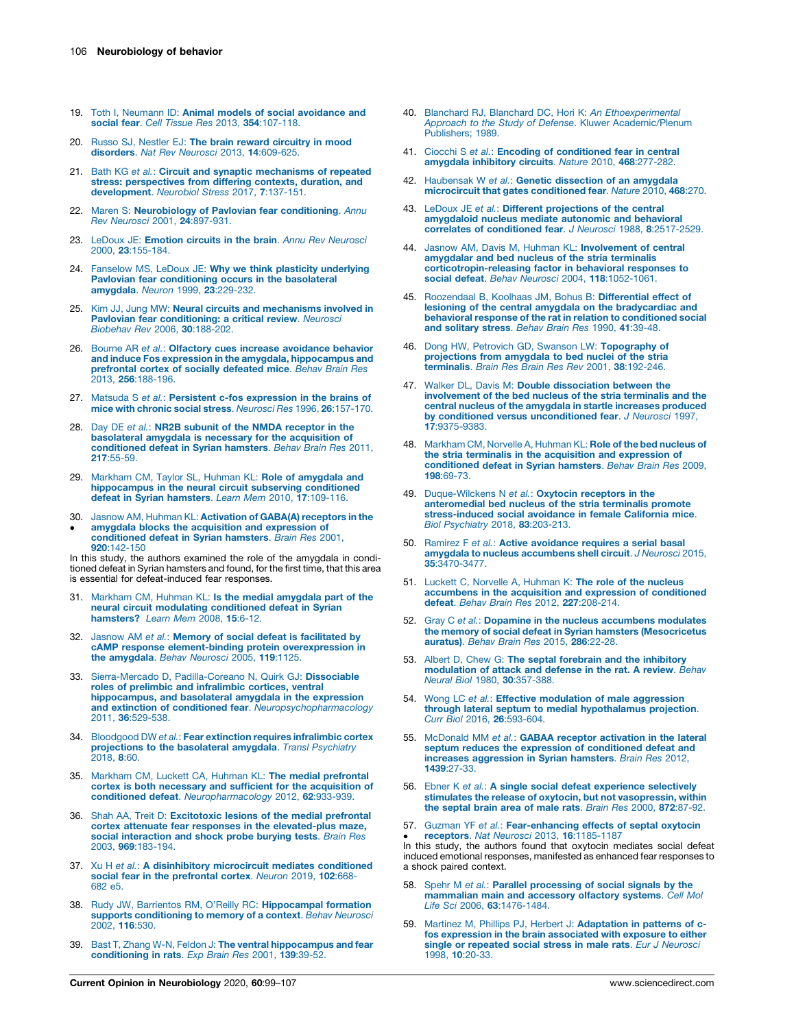- <span id="page-7-0"></span>19. Toth I, Neumann ID: Animal models of social [avoidance](http://refhub.elsevier.com/S0959-4388(19)30127-8/sbref0095) and social fear. Cell Tissue Res 2013, 354[:107-118.](http://refhub.elsevier.com/S0959-4388(19)30127-8/sbref0095)
- 20. Russo SJ, Nestler EJ: The brain reward [circuitry](http://refhub.elsevier.com/S0959-4388(19)30127-8/sbref0100) in mood [disorders](http://refhub.elsevier.com/S0959-4388(19)30127-8/sbref0100). Nat Rev Neurosci 2013, 14:609-625.
- 21. Bath KG et al.: Circuit and synaptic [mechanisms](http://refhub.elsevier.com/S0959-4388(19)30127-8/sbref0105) of repeated stress: [perspectives](http://refhub.elsevier.com/S0959-4388(19)30127-8/sbref0105) from differing contexts, duration, and<br>[development](http://refhub.elsevier.com/S0959-4388(19)30127-8/sbref0105). Neurobiol Stress 2017, 7:137-151.
- 22. Maren S: [Neurobiology](http://refhub.elsevier.com/S0959-4388(19)30127-8/sbref0110) of Pavlovian fear conditioning. Annu Rev Neurosci 2001, 24[:897-931.](http://refhub.elsevier.com/S0959-4388(19)30127-8/sbref0110)
- 23. LeDoux JE: Emotion circuits in the brain. Annu Rev [Neurosci](http://refhub.elsevier.com/S0959-4388(19)30127-8/sbref0115) 2000, 23[:155-184.](http://refhub.elsevier.com/S0959-4388(19)30127-8/sbref0115)
- 24. Fanselow MS, LeDoux JE: Why we think plasticity [underlying](http://refhub.elsevier.com/S0959-4388(19)30127-8/sbref0120) Pavlovian fear [conditioning](http://refhub.elsevier.com/S0959-4388(19)30127-8/sbref0120) occurs in the basolateral [amygdala](http://refhub.elsevier.com/S0959-4388(19)30127-8/sbref0120). Neuron 1999, 23:229-232.
- 25. Kim JJ, Jung MW: Neural circuits and [mechanisms](http://refhub.elsevier.com/S0959-4388(19)30127-8/sbref0125) involved in Pavlovian fear [conditioning:](http://refhub.elsevier.com/S0959-4388(19)30127-8/sbref0125) a critical review. Neurosci Biobehav Rev 2006, 30[:188-202.](http://refhub.elsevier.com/S0959-4388(19)30127-8/sbref0125)
- 26. Bourne AR et al.: Olfactory cues increase [avoidance](http://refhub.elsevier.com/S0959-4388(19)30127-8/sbref0130) behavior and induce Fos expression in the amygdala, [hippocampus](http://refhub.elsevier.com/S0959-4388(19)30127-8/sbref0130) and [prefrontal](http://refhub.elsevier.com/S0959-4388(19)30127-8/sbref0130) cortex of socially defeated mice. Behav Brain Res 2013, 256[:188-196.](http://refhub.elsevier.com/S0959-4388(19)30127-8/sbref0130)
- 27. Matsuda S *et al.*: Persistent c-fos [expression](http://refhub.elsevier.com/S0959-4388(19)30127-8/sbref0135) in the brains of mice with chronic social stress. *Neurosci Res* 1996, 26[:157-170.](http://refhub.elsevier.com/S0959-4388(19)30127-8/sbref0135)
- 28. Day DE et al.: NR2B subunit of the NMDA [receptor](http://refhub.elsevier.com/S0959-4388(19)30127-8/sbref0140) in the [basolateral](http://refhub.elsevier.com/S0959-4388(19)30127-8/sbref0140) amygdala is necessary for the acquisition of [conditioned](http://refhub.elsevier.com/S0959-4388(19)30127-8/sbref0140) defeat in Syrian hamsters. Behav Brain Res 2011, 217[:55-59.](http://refhub.elsevier.com/S0959-4388(19)30127-8/sbref0140)
- 29. Markham CM, Taylor SL, Huhman KL: Role of [amygdala](http://refhub.elsevier.com/S0959-4388(19)30127-8/sbref0145) and [hippocampus](http://refhub.elsevier.com/S0959-4388(19)30127-8/sbref0145) in the neural circuit subserving conditioned<br>defeat in Syrian [hamsters](http://refhub.elsevier.com/S0959-4388(19)30127-8/sbref0145). *Learn Mem* 2010, 17:109-116.
- 30. Jasnow AM, Huhman KL: **[Activation](http://refhub.elsevier.com/S0959-4388(19)30127-8/sbref0150) of GABA(A) receptors in the**  $\bullet$ amygdala blocks the acquisition and [expression](http://refhub.elsevier.com/S0959-4388(19)30127-8/sbref0150) of [conditioned](http://refhub.elsevier.com/S0959-4388(19)30127-8/sbref0150) defeat in Syrian hamsters. Brain Res 2001,

920[:142-150](http://refhub.elsevier.com/S0959-4388(19)30127-8/sbref0150) In this study, the authors examined the role of the amygdala in conditioned defeat in Syrian hamsters and found, for the first time, that this area is essential for defeat-induced fear responses.

- 31. Markham CM, Huhman KL: Is the medial [amygdala](http://refhub.elsevier.com/S0959-4388(19)30127-8/sbref0155) part of the neural circuit modulating [conditioned](http://refhub.elsevier.com/S0959-4388(19)30127-8/sbref0155) defeat in Syrian [hamsters?](http://refhub.elsevier.com/S0959-4388(19)30127-8/sbref0155) Learn Mem 2008, 15:6-12.
- 32. Jasnow AM et al.: Memory of social defeat is [facilitated](http://refhub.elsevier.com/S0959-4388(19)30127-8/sbref0160) by cAMP response [element-binding](http://refhub.elsevier.com/S0959-4388(19)30127-8/sbref0160) protein overexpression in the [amygdala](http://refhub.elsevier.com/S0959-4388(19)30127-8/sbref0160). Behav Neurosci 2005, 119:1125.
- 33. Sierra-Mercado D, [Padilla-Coreano](http://refhub.elsevier.com/S0959-4388(19)30127-8/sbref0165) N, Quirk GJ: Dissociable roles of prelimbic and [infralimbic](http://refhub.elsevier.com/S0959-4388(19)30127-8/sbref0165) cortices, ventral [hippocampus,](http://refhub.elsevier.com/S0959-4388(19)30127-8/sbref0165) and basolateral amygdala in the expression and extinction of conditioned fear. [Neuropsychopharmacology](http://refhub.elsevier.com/S0959-4388(19)30127-8/sbref0165) 2011, 36[:529-538.](http://refhub.elsevier.com/S0959-4388(19)30127-8/sbref0165)
- 34. Bloodgood DW et al.: Fear extinction requires [infralimbic](http://refhub.elsevier.com/S0959-4388(19)30127-8/sbref0170) cortex [projections](http://refhub.elsevier.com/S0959-4388(19)30127-8/sbref0170) to the basolateral amygdala. Transl Psychiatry [2018,](http://refhub.elsevier.com/S0959-4388(19)30127-8/sbref0170) 8:60.
- 35. Markham CM, Luckett CA, Huhman KL: The medial [prefrontal](http://refhub.elsevier.com/S0959-4388(19)30127-8/sbref0175) cortex is both necessary and sufficient for the [acquisition](http://refhub.elsevier.com/S0959-4388(19)30127-8/sbref0175) of conditioned defeat. [Neuropharmacology](http://refhub.elsevier.com/S0959-4388(19)30127-8/sbref0175) 2012, 62:933-939.
- 36. Shah AA, Treit D: [Excitotoxic](http://refhub.elsevier.com/S0959-4388(19)30127-8/sbref0180) lesions of the medial prefrontal cortex attenuate fear responses in the [elevated-plus](http://refhub.elsevier.com/S0959-4388(19)30127-8/sbref0180) maze, social [interaction](http://refhub.elsevier.com/S0959-4388(19)30127-8/sbref0180) and shock probe burying tests. Brain Res 2003, 969[:183-194.](http://refhub.elsevier.com/S0959-4388(19)30127-8/sbref0180)
- 37. Xu H et al.: A [disinhibitory](http://refhub.elsevier.com/S0959-4388(19)30127-8/sbref0185) microcircuit mediates conditioned social fear in the [prefrontal](http://refhub.elsevier.com/S0959-4388(19)30127-8/sbref0185) cortex. Neuron 2019, 102:668-[682](http://refhub.elsevier.com/S0959-4388(19)30127-8/sbref0185) e5.
- 38. Rudy JW, Barrientos RM, O'Reilly RC: [Hippocampal](http://refhub.elsevier.com/S0959-4388(19)30127-8/sbref0190) formation **supports [conditioning](http://refhub.elsevier.com/S0959-4388(19)30127-8/sbref0190) to memory of a context**. Behav Neurosci<br>[2002,](http://refhub.elsevier.com/S0959-4388(19)30127-8/sbref0190) **116**:530.
- 39. Bast T, Zhang W-N, Feldon J: The ventral [hippocampus](http://refhub.elsevier.com/S0959-4388(19)30127-8/sbref0195) and fear [conditioning](http://refhub.elsevier.com/S0959-4388(19)30127-8/sbref0195) in rats. Exp Brain Res 2001, 139:39-52.
- 40. Blanchard RJ, Blanchard DC, Hori K: An [Ethoexperimental](http://refhub.elsevier.com/S0959-4388(19)30127-8/sbref0200) Approach to the Study of Defense. Kluwer [Academic/Plenum](http://refhub.elsevier.com/S0959-4388(19)30127-8/sbref0200) [Publishers;](http://refhub.elsevier.com/S0959-4388(19)30127-8/sbref0200) 1989.
- 41. Ciocchi S et al.: Encoding of [conditioned](http://refhub.elsevier.com/S0959-4388(19)30127-8/sbref0205) fear in central [amygdala](http://refhub.elsevier.com/S0959-4388(19)30127-8/sbref0205) inhibitory circuits. Nature 2010, 468:277-282.
- 42. [Haubensak](http://refhub.elsevier.com/S0959-4388(19)30127-8/sbref0210) W et al.: Genetic dissection of an amygdala [microcircuit](http://refhub.elsevier.com/S0959-4388(19)30127-8/sbref0210) that gates conditioned fear. Nature 2010, 468:270.
- 43. LeDoux JE et al.: Different [projections](http://refhub.elsevier.com/S0959-4388(19)30127-8/sbref0215) of the central [amygdaloid](http://refhub.elsevier.com/S0959-4388(19)30127-8/sbref0215) nucleus mediate autonomic and behavioral correlates of [conditioned](http://refhub.elsevier.com/S0959-4388(19)30127-8/sbref0215) fear. J Neurosci 1988, 8:2517-2529.
- 44. Jasnow AM, Davis M, Huhman KL: [Involvement](http://refhub.elsevier.com/S0959-4388(19)30127-8/sbref0220) of central [amygdalar](http://refhub.elsevier.com/S0959-4388(19)30127-8/sbref0220) and bed nucleus of the stria terminalis [corticotropin-releasing](http://refhub.elsevier.com/S0959-4388(19)30127-8/sbref0220) factor in behavioral responses to social defeat. Behav Neurosci 2004, 118[:1052-1061.](http://refhub.elsevier.com/S0959-4388(19)30127-8/sbref0220)
- [Roozendaal](http://refhub.elsevier.com/S0959-4388(19)30127-8/sbref0225) B, Koolhaas JM, Bohus B: Differential effect of lesioning of the central amygdala on the [bradycardiac](http://refhub.elsevier.com/S0959-4388(19)30127-8/sbref0225) and behavioral response of the rat in relation to [conditioned](http://refhub.elsevier.com/S0959-4388(19)30127-8/sbref0225) social and [solitary](http://refhub.elsevier.com/S0959-4388(19)30127-8/sbref0225) stress. Behav Brain Res 1990, 41:39-48.
- 46. Dong HW, Petrovich GD, Swanson LW: [Topography](http://refhub.elsevier.com/S0959-4388(19)30127-8/sbref0230) of [projections](http://refhub.elsevier.com/S0959-4388(19)30127-8/sbref0230) from amygdala to bed nuclei of the stria [terminalis](http://refhub.elsevier.com/S0959-4388(19)30127-8/sbref0230). Brain Res Brain Res Rev 2001, 38:192-246.
- 47. Walker DL, Davis M: Double [dissociation](http://refhub.elsevier.com/S0959-4388(19)30127-8/sbref0235) between the [involvement](http://refhub.elsevier.com/S0959-4388(19)30127-8/sbref0235) of the bed nucleus of the stria terminalis and the central nucleus of the [amygdala](http://refhub.elsevier.com/S0959-4388(19)30127-8/sbref0235) in startle increases produced by conditioned versus [unconditioned](http://refhub.elsevier.com/S0959-4388(19)30127-8/sbref0235) fear. J Neurosci 1997, 17[:9375-9383.](http://refhub.elsevier.com/S0959-4388(19)30127-8/sbref0235)
- 48. [Markham](http://refhub.elsevier.com/S0959-4388(19)30127-8/sbref0240) CM, Norvelle A, Huhman KL: Role of the bed nucleus of the stria terminalis in the acquisition and [expression](http://refhub.elsevier.com/S0959-4388(19)30127-8/sbref0240) of [conditioned](http://refhub.elsevier.com/S0959-4388(19)30127-8/sbref0240) defeat in Syrian hamsters. Behav Brain Res 2009, 198[:69-73.](http://refhub.elsevier.com/S0959-4388(19)30127-8/sbref0240)
- 49. [Duque-Wilckens](http://refhub.elsevier.com/S0959-4388(19)30127-8/sbref0245) N et al.: Oxytocin receptors in the [anteromedial](http://refhub.elsevier.com/S0959-4388(19)30127-8/sbref0245) bed nucleus of the stria terminalis promote [stress-induced](http://refhub.elsevier.com/S0959-4388(19)30127-8/sbref0245) social avoidance in female California mice. Biol [Psychiatry](http://refhub.elsevier.com/S0959-4388(19)30127-8/sbref0245) 2018, 83:203-213.
- 50. Ramirez F et al.: Active [avoidance](http://refhub.elsevier.com/S0959-4388(19)30127-8/sbref0250) requires a serial basal amygdala to nucleus [accumbens](http://refhub.elsevier.com/S0959-4388(19)30127-8/sbref0250) shell circuit. J Neurosci 2015, 35[:3470-3477.](http://refhub.elsevier.com/S0959-4388(19)30127-8/sbref0250)
- 51. Luckett C, Norvelle A, [Huhman](http://refhub.elsevier.com/S0959-4388(19)30127-8/sbref0255) K: The role of the nucleus accumbens in the acquisition and expression of [conditioned](http://refhub.elsevier.com/S0959-4388(19)30127-8/sbref0255) defeat. Behav Brain Res 2012, 227[:208-214.](http://refhub.elsevier.com/S0959-4388(19)30127-8/sbref0255)
- 52. Gray C et al.: Dopamine in the nucleus [accumbens](http://refhub.elsevier.com/S0959-4388(19)30127-8/sbref0260) modulates the memory of social defeat in Syrian hamsters [\(Mesocricetus](http://refhub.elsevier.com/S0959-4388(19)30127-8/sbref0260)<br>[auratus\)](http://refhub.elsevier.com/S0959-4388(19)30127-8/sbref0260). *Behav Brain Res* 2015, **286**:22-28.
- 53. Albert D, Chew G: The septal forebrain and the [inhibitory](http://refhub.elsevier.com/S0959-4388(19)30127-8/sbref0265) [modulation](http://refhub.elsevier.com/S0959-4388(19)30127-8/sbref0265) of attack and defense in the rat. A review. Behav Neural Biol 1980, 30[:357-388.](http://refhub.elsevier.com/S0959-4388(19)30127-8/sbref0265)
- 54. Wong LC et al.: Effective [modulation](http://refhub.elsevier.com/S0959-4388(19)30127-8/sbref0270) of male aggression through lateral septum to medial [hypothalamus](http://refhub.elsevier.com/S0959-4388(19)30127-8/sbref0270) projection. Curr Biol 2016, 26[:593-604.](http://refhub.elsevier.com/S0959-4388(19)30127-8/sbref0270)
- 55. McDonald MM et al.: GABAA receptor [activation](http://refhub.elsevier.com/S0959-4388(19)30127-8/sbref0275) in the lateral septum reduces the expression of [conditioned](http://refhub.elsevier.com/S0959-4388(19)30127-8/sbref0275) defeat and increases [aggression](http://refhub.elsevier.com/S0959-4388(19)30127-8/sbref0275) in Syrian hamsters. Brain Res 2012, 1439[:27-33.](http://refhub.elsevier.com/S0959-4388(19)30127-8/sbref0275)
- 56. Ebner K et al.: A single social defeat [experience](http://refhub.elsevier.com/S0959-4388(19)30127-8/sbref0280) selectively stimulates the release of oxytocin, but not [vasopressin,](http://refhub.elsevier.com/S0959-4388(19)30127-8/sbref0280) within the septal brain area of male rats. Brain Res 2000, 872[:87-92.](http://refhub.elsevier.com/S0959-4388(19)30127-8/sbref0280)
- 57. Guzman YF et al.: [Fear-enhancing](http://refhub.elsevier.com/S0959-4388(19)30127-8/sbref0285) effects of septal oxytocin receptors. Nat Neurosci 2013, 16[:1185-1187](http://refhub.elsevier.com/S0959-4388(19)30127-8/sbref0285)

• receptors. Nat Neurosci 2013, 16:1185-1187<br>In this study, the authors found that oxytocin mediates social defeat induced emotional responses, manifested as enhanced fear responses to a shock paired context.

- 58. Spehr M et al.: Parallel [processing](http://refhub.elsevier.com/S0959-4388(19)30127-8/sbref0290) of social signals by the [mammalian](http://refhub.elsevier.com/S0959-4388(19)30127-8/sbref0290) main and accessory olfactory systems. Cell Mol Life Sci 2006, 63[:1476-1484.](http://refhub.elsevier.com/S0959-4388(19)30127-8/sbref0290)
- 59. Martinez M, Phillips PJ, Herbert J: [Adaptation](http://refhub.elsevier.com/S0959-4388(19)30127-8/sbref0295) in patterns of cfos [expression](http://refhub.elsevier.com/S0959-4388(19)30127-8/sbref0295) in the brain associated with exposure to either single or [repeated](http://refhub.elsevier.com/S0959-4388(19)30127-8/sbref0295) social stress in male rats. Eur J Neurosci 1998, 10[:20-33.](http://refhub.elsevier.com/S0959-4388(19)30127-8/sbref0295)